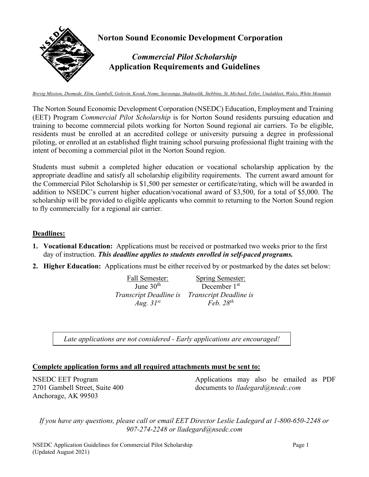

*Brevig Mission, Diomede, Elim, Gambell, Golovin, Koyuk, Nome, Savoonga, Shaktoolik, Stebbins, St. Michael, Teller, Unalakleet, Wales, White Mountain*

The Norton Sound Economic Development Corporation (NSEDC) Education, Employment and Training (EET) Program *Commercial Pilot Scholarship* is for Norton Sound residents pursuing education and training to become commercial pilots working for Norton Sound regional air carriers. To be eligible, residents must be enrolled at an accredited college or university pursuing a degree in professional piloting, or enrolled at an established flight training school pursuing professional flight training with the intent of becoming a commercial pilot in the Norton Sound region.

Students must submit a completed higher education or vocational scholarship application by the appropriate deadline and satisfy all scholarship eligibility requirements. The current award amount for the Commercial Pilot Scholarship is \$1,500 per semester or certificate/rating, which will be awarded in addition to NSEDC's current higher education/vocational award of \$3,500, for a total of \$5,000. The scholarship will be provided to eligible applicants who commit to returning to the Norton Sound region to fly commercially for a regional air carrier.

### **Deadlines:**

- **1. Vocational Education:** Applications must be received or postmarked two weeks prior to the first day of instruction. *This deadline applies to students enrolled in self-paced programs.*
- **2. Higher Education:** Applications must be either received by or postmarked by the dates set below:

| Fall Semester:                | Spring Semester:              |
|-------------------------------|-------------------------------|
| June $30th$                   | December $1st$                |
| <i>Transcript Deadline is</i> | <i>Transcript Deadline is</i> |
| Aug. $31^{st}$                | Feb. $28^{th}$                |

*Late applications are not considered - Early applications are encouraged!* 

### **Complete application forms and all required attachments must be sent to:**

NSEDC EET Program 2701 Gambell Street, Suite 400 Anchorage, AK 99503

Applications may also be emailed as PDF documents to *lladegard@nsedc.com*

*If you have any questions, please call or email EET Director Leslie Ladegard at 1-800-650-2248 or 907-274-2248 or [lladegard@nsedc.com](mailto:niaomi@nsedc.com)*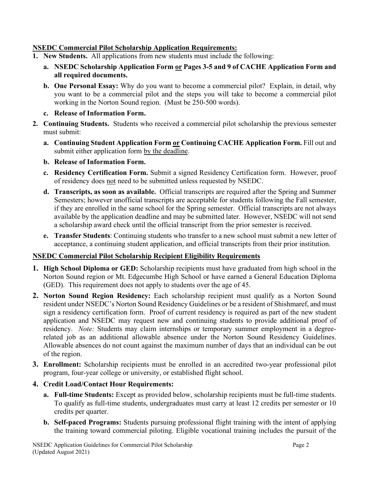## **NSEDC Commercial Pilot Scholarship Application Requirements:**

- **1. New Students.** All applications from new students must include the following:
	- **a. NSEDC Scholarship Application Form or Pages 3-5 and 9 of CACHE Application Form and all required documents.**
	- **b. One Personal Essay:** Why do you want to become a commercial pilot? Explain, in detail, why you want to be a commercial pilot and the steps you will take to become a commercial pilot working in the Norton Sound region. (Must be 250-500 words).
	- **c. Release of Information Form.**
- **2. Continuing Students.** Students who received a commercial pilot scholarship the previous semester must submit:
	- **a. Continuing Student Application Form or Continuing CACHE Application Form.** Fill out and submit either application form by the deadline.
	- **b. Release of Information Form.**
	- **c. Residency Certification Form.** Submit a signed Residency Certification form. However, proof of residency does not need to be submitted unless requested by NSEDC.
	- **d. Transcripts, as soon as available.** Official transcripts are required after the Spring and Summer Semesters; however unofficial transcripts are acceptable for students following the Fall semester, if they are enrolled in the same school for the Spring semester. Official transcripts are not always available by the application deadline and may be submitted later. However, NSEDC will not send a scholarship award check until the official transcript from the prior semester is received.
	- **e. Transfer Students**: Continuing students who transfer to a new school must submit a new letter of acceptance, a continuing student application, and official transcripts from their prior institution.

## **NSEDC Commercial Pilot Scholarship Recipient Eligibility Requirements**

- **1. High School Diploma or GED:** Scholarship recipients must have graduated from high school in the Norton Sound region or Mt. Edgecumbe High School or have earned a General Education Diploma (GED). This requirement does not apply to students over the age of 45.
- **2. Norton Sound Region Residency:** Each scholarship recipient must qualify as a Norton Sound resident under NSEDC's Norton Sound Residency Guidelines or be a resident of Shishmaref, and must sign a residency certification form. Proof of current residency is required as part of the new student application and NSEDC may request new and continuing students to provide additional proof of residency. *Note:* Students may claim internships or temporary summer employment in a degreerelated job as an additional allowable absence under the Norton Sound Residency Guidelines. Allowable absences do not count against the maximum number of days that an individual can be out of the region.
- **3. Enrollment:** Scholarship recipients must be enrolled in an accredited two-year professional pilot program, four-year college or university, or established flight school.
- **4. Credit Load/Contact Hour Requirements:**
	- **a. Full-time Students:** Except as provided below, scholarship recipients must be full-time students. To qualify as full-time students, undergraduates must carry at least 12 credits per semester or 10 credits per quarter.
	- **b. Self-paced Programs:** Students pursuing professional flight training with the intent of applying the training toward commercial piloting. Eligible vocational training includes the pursuit of the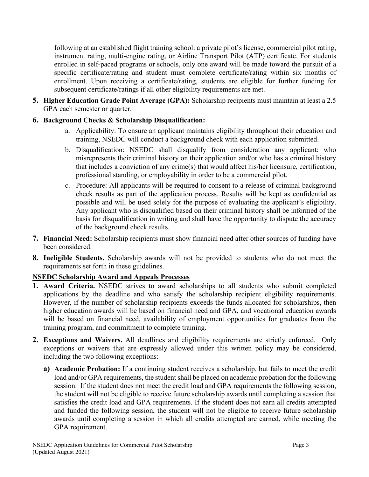following at an established flight training school: a private pilot's license, commercial pilot rating, instrument rating, multi-engine rating, or Airline Transport Pilot (ATP) certificate. For students enrolled in self-paced programs or schools, only one award will be made toward the pursuit of a specific certificate/rating and student must complete certificate/rating within six months of enrollment. Upon receiving a certificate/rating, students are eligible for further funding for subsequent certificate/ratings if all other eligibility requirements are met.

- **5. Higher Education Grade Point Average (GPA):** Scholarship recipients must maintain at least a 2.5 GPA each semester or quarter.
- **6. Background Checks & Scholarship Disqualification:**
	- a. Applicability: To ensure an applicant maintains eligibility throughout their education and training, NSEDC will conduct a background check with each application submitted.
	- b. Disqualification: NSEDC shall disqualify from consideration any applicant: who misrepresents their criminal history on their application and/or who has a criminal history that includes a conviction of any crime(s) that would affect his/her licensure, certification, professional standing, or employability in order to be a commercial pilot.
	- c. Procedure: All applicants will be required to consent to a release of criminal background check results as part of the application process. Results will be kept as confidential as possible and will be used solely for the purpose of evaluating the applicant's eligibility. Any applicant who is disqualified based on their criminal history shall be informed of the basis for disqualification in writing and shall have the opportunity to dispute the accuracy of the background check results.
- **7. Financial Need:** Scholarship recipients must show financial need after other sources of funding have been considered.
- **8. Ineligible Students.** Scholarship awards will not be provided to students who do not meet the requirements set forth in these guidelines.

# **NSEDC Scholarship Award and Appeals Processes**

- **1. Award Criteria.** NSEDC strives to award scholarships to all students who submit completed applications by the deadline and who satisfy the scholarship recipient eligibility requirements. However, if the number of scholarship recipients exceeds the funds allocated for scholarships, then higher education awards will be based on financial need and GPA, and vocational education awards will be based on financial need, availability of employment opportunities for graduates from the training program, and commitment to complete training.
- **2. Exceptions and Waivers.** All deadlines and eligibility requirements are strictly enforced. Only exceptions or waivers that are expressly allowed under this written policy may be considered, including the two following exceptions:
	- **a) Academic Probation:** If a continuing student receives a scholarship, but fails to meet the credit load and/or GPA requirements, the student shall be placed on academic probation for the following session. If the student does not meet the credit load and GPA requirements the following session, the student will not be eligible to receive future scholarship awards until completing a session that satisfies the credit load and GPA requirements. If the student does not earn all credits attempted and funded the following session, the student will not be eligible to receive future scholarship awards until completing a session in which all credits attempted are earned, while meeting the GPA requirement.